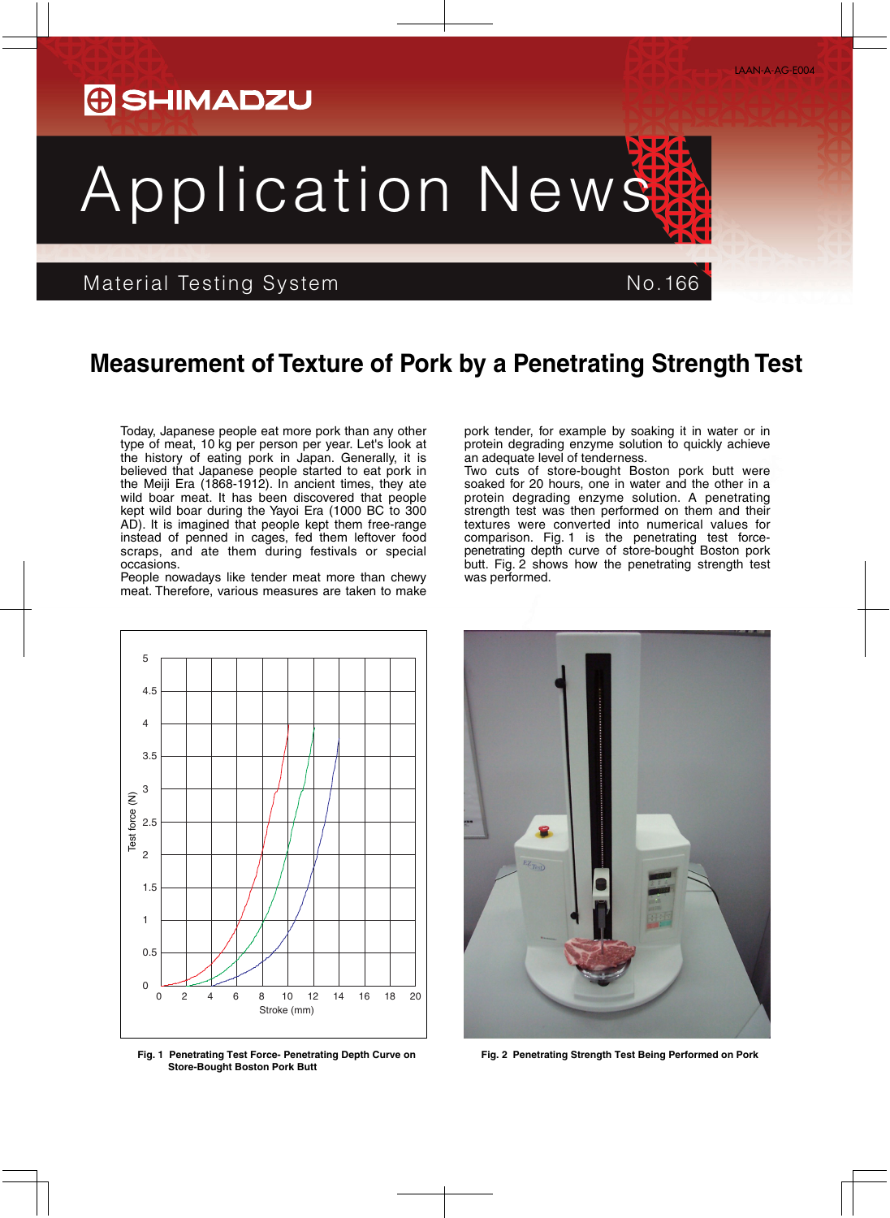## Application News

## Material Testing System No.166

occasions.

pork tender, for example by soaking it in water or in protein degrading enzyme solution to quickly achieve an adequate level of tenderness.

Two cuts of store-bought Boston pork butt were soaked for 20 hours, one in water and the other in a protein degrading enzyme solution. A penetrating strength test was then performed on them and their textures were converted into numerical values for comparison. Fig. 1 is the penetrating test forcepenetrating depth curve of store-bought Boston pork butt. Fig. 2 shows how the penetrating strength test

instead of penned in cages, fed them leftover food scraps, and ate them during festivals or special People nowadays like tender meat more than chewy meat. Therefore, various measures are taken to make was performed.

**Measurement of Texture of Pork by a Penetrating Strength Test**

**Fig. 2 Penetrating Strength Test Being Performed on Pork**



Today, Japanese people eat more pork than any other type of meat, 10 kg per person per year. Let's look at the history of eating pork in Japan. Generally, it is believed that Japanese people started to eat pork in the Meiji Era (1868-1912). In ancient times, they ate wild boar meat. It has been discovered that people kept wild boar during the Yayoi Era (1000 BC to 300  $AD$ ). It is imagined that people kept them free-range

**Fig. 1 Penetrating Test Force- Penetrating Depth Curve on Store-Bought Boston Pork Butt**